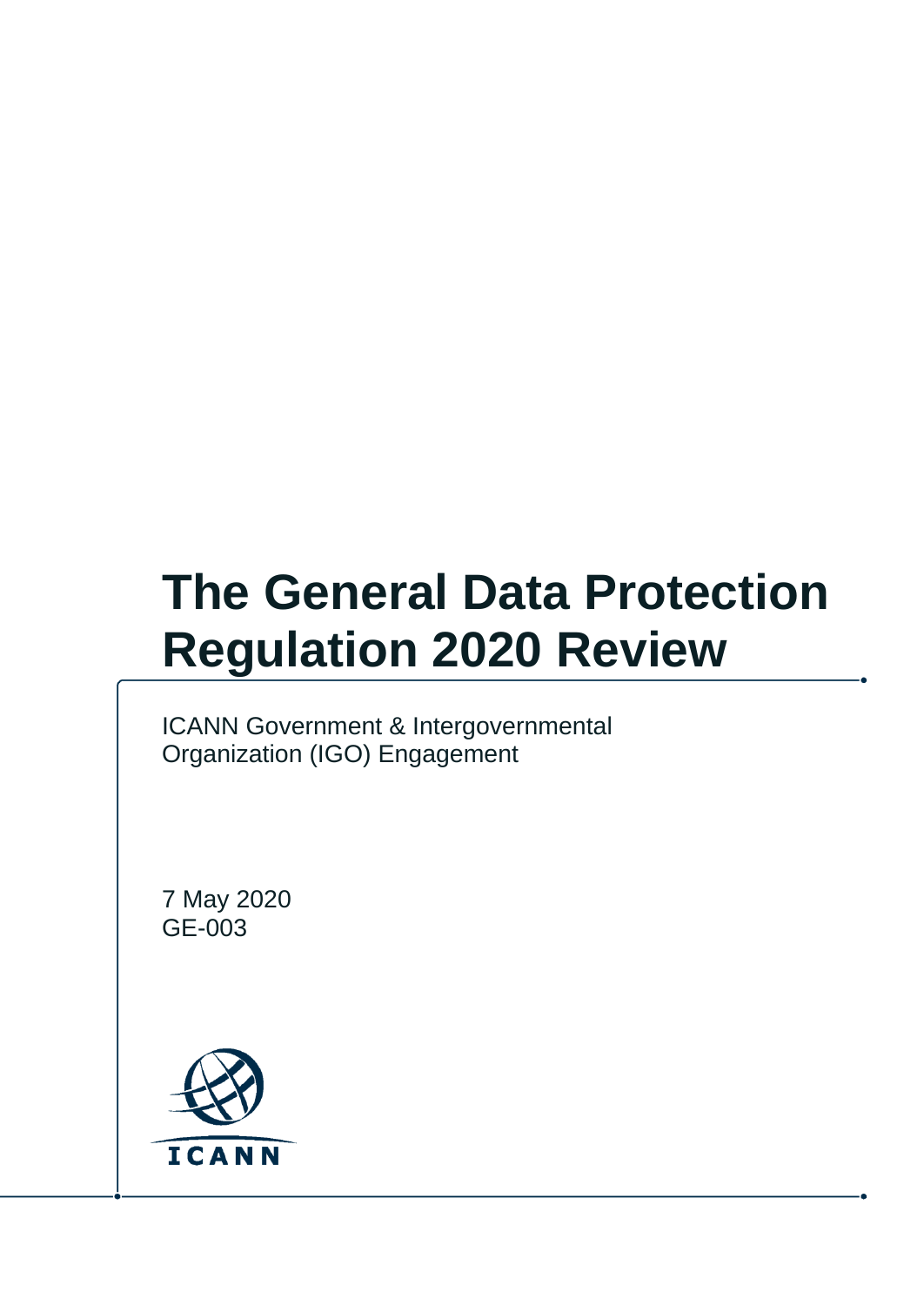# **The General Data Protection Regulation 2020 Review**

ICANN Government & Intergovernmental Organization (IGO) Engagement

7 May 2020 GE-003

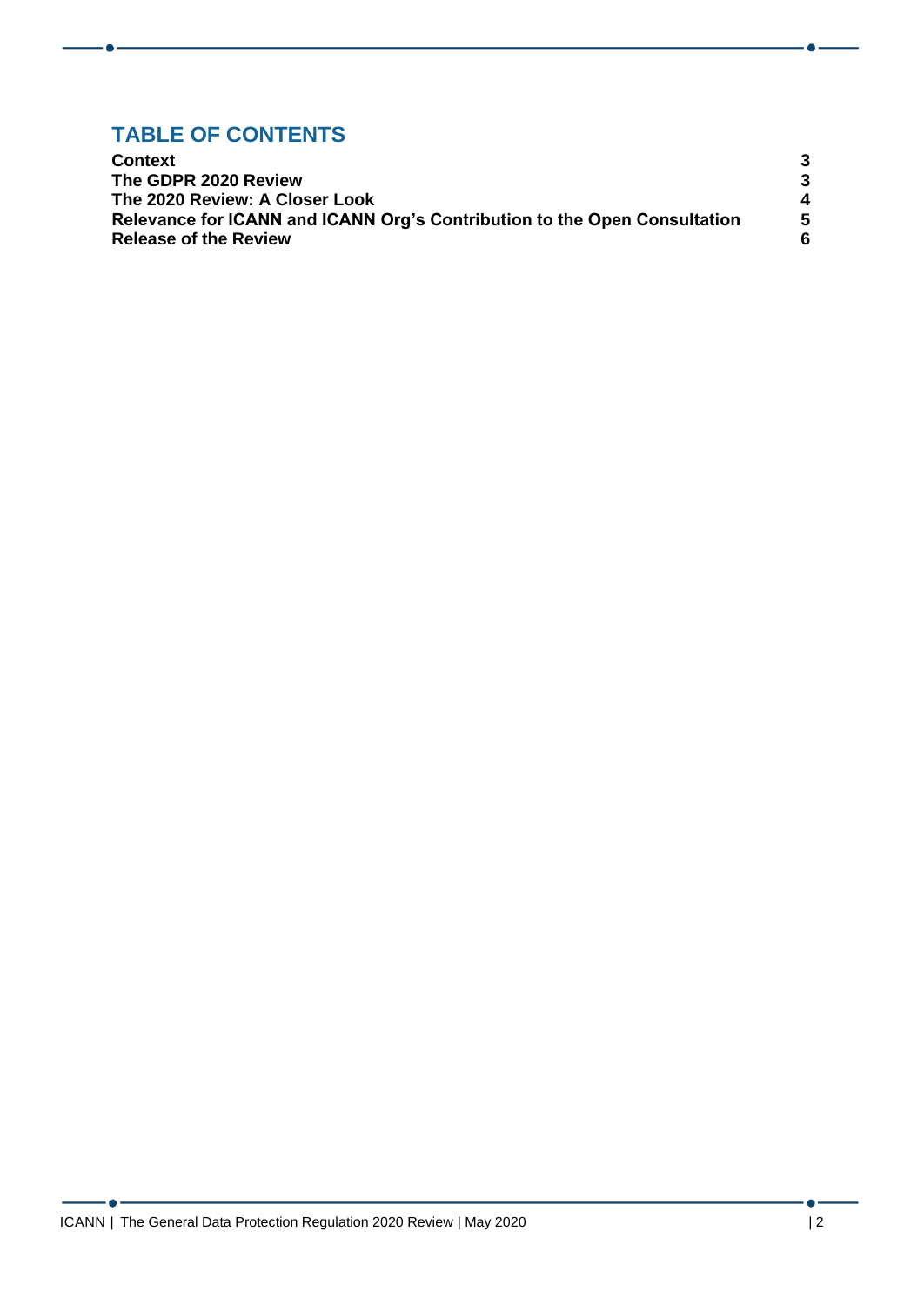#### **TABLE OF CONTENTS**

| <b>Context</b><br>The GDPR 2020 Review<br>The 2020 Review: A Closer Look<br>Relevance for ICANN and ICANN Org's Contribution to the Open Consultation |        |
|-------------------------------------------------------------------------------------------------------------------------------------------------------|--------|
|                                                                                                                                                       |        |
|                                                                                                                                                       | 4<br>5 |
|                                                                                                                                                       |        |

- 6 -

 $\bullet$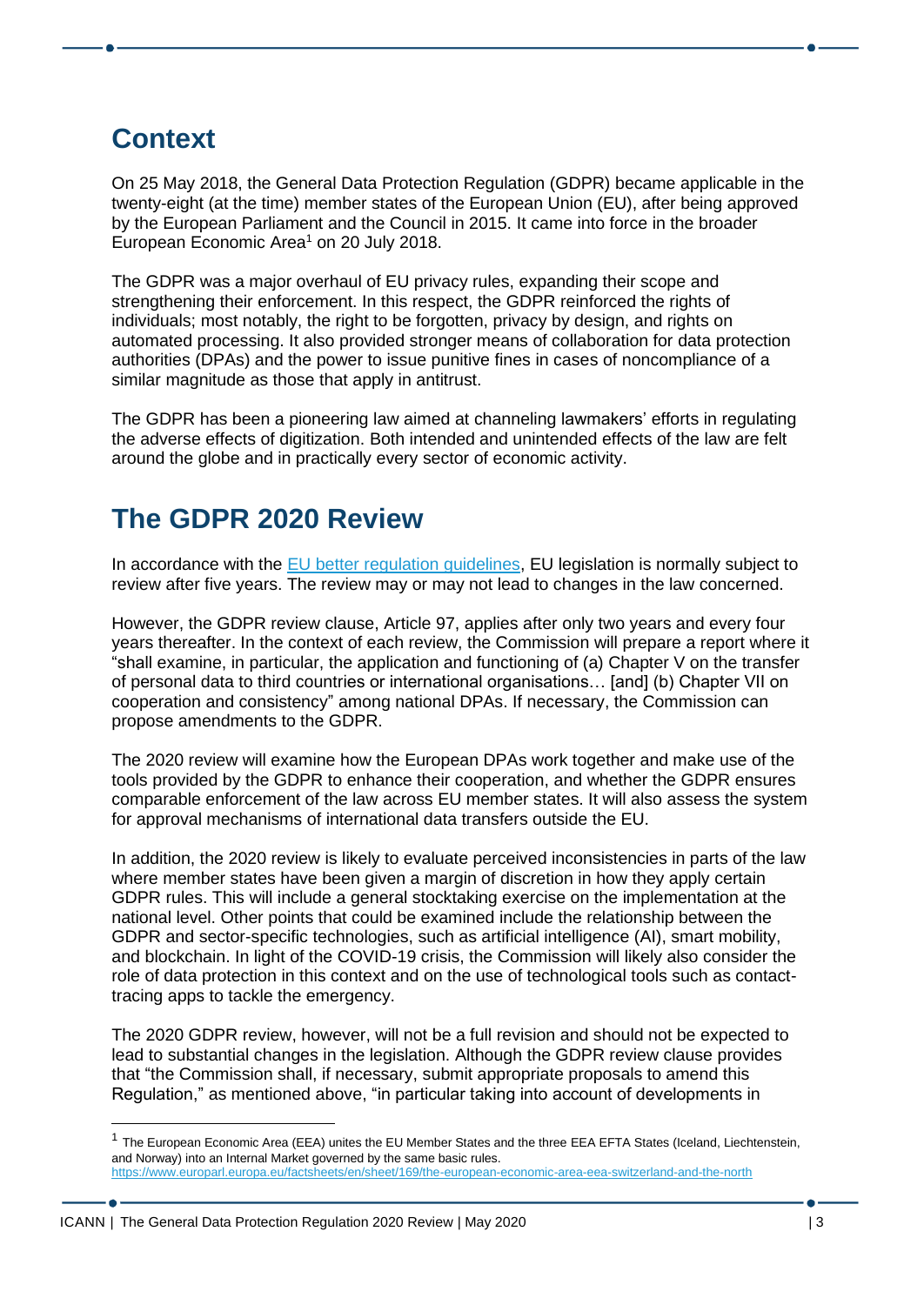# <span id="page-2-0"></span>**Context**

On 25 May 2018, the General Data Protection Regulation (GDPR) became applicable in the twenty-eight (at the time) member states of the European Union (EU), after being approved by the European Parliament and the Council in 2015. It came into force in the broader European Economic Area<sup>1</sup> on 20 July 2018.

The GDPR was a major overhaul of EU privacy rules, expanding their scope and strengthening their enforcement. In this respect, the GDPR reinforced the rights of individuals; most notably, the right to be forgotten, privacy by design, and rights on automated processing. It also provided stronger means of collaboration for data protection authorities (DPAs) and the power to issue punitive fines in cases of noncompliance of a similar magnitude as those that apply in antitrust.

The GDPR has been a pioneering law aimed at channeling lawmakers' efforts in regulating the adverse effects of digitization. Both intended and unintended effects of the law are felt around the globe and in practically every sector of economic activity.

# <span id="page-2-1"></span>**The GDPR 2020 Review**

In accordance with the **EU** better regulation guidelines, EU legislation is normally subject to review after five years. The review may or may not lead to changes in the law concerned.

However, the GDPR review clause, Article 97, applies after only two years and every four years thereafter. In the context of each review, the Commission will prepare a report where it "shall examine, in particular, the application and functioning of (a) Chapter V on the transfer of personal data to third countries or international organisations… [and] (b) Chapter VII on cooperation and consistency" among national DPAs. If necessary, the Commission can propose amendments to the GDPR.

The 2020 review will examine how the European DPAs work together and make use of the tools provided by the GDPR to enhance their cooperation, and whether the GDPR ensures comparable enforcement of the law across EU member states. It will also assess the system for approval mechanisms of international data transfers outside the EU.

In addition, the 2020 review is likely to evaluate perceived inconsistencies in parts of the law where member states have been given a margin of discretion in how they apply certain GDPR rules. This will include a general stocktaking exercise on the implementation at the national level. Other points that could be examined include the relationship between the GDPR and sector-specific technologies, such as artificial intelligence (AI), smart mobility, and blockchain. In light of the COVID-19 crisis, the Commission will likely also consider the role of data protection in this context and on the use of technological tools such as contacttracing apps to tackle the emergency.

The 2020 GDPR review, however, will not be a full revision and should not be expected to lead to substantial changes in the legislation. Although the GDPR review clause provides that "the Commission shall, if necessary, submit appropriate proposals to amend this Regulation," as mentioned above, "in particular taking into account of developments in

<sup>&</sup>lt;sup>1</sup> The European Economic Area (EEA) unites the EU Member States and the three EEA EFTA States (Iceland, Liechtenstein, and Norway) into an Internal Market governed by the same basic rules. <https://www.europarl.europa.eu/factsheets/en/sheet/169/the-european-economic-area-eea-switzerland-and-the-north>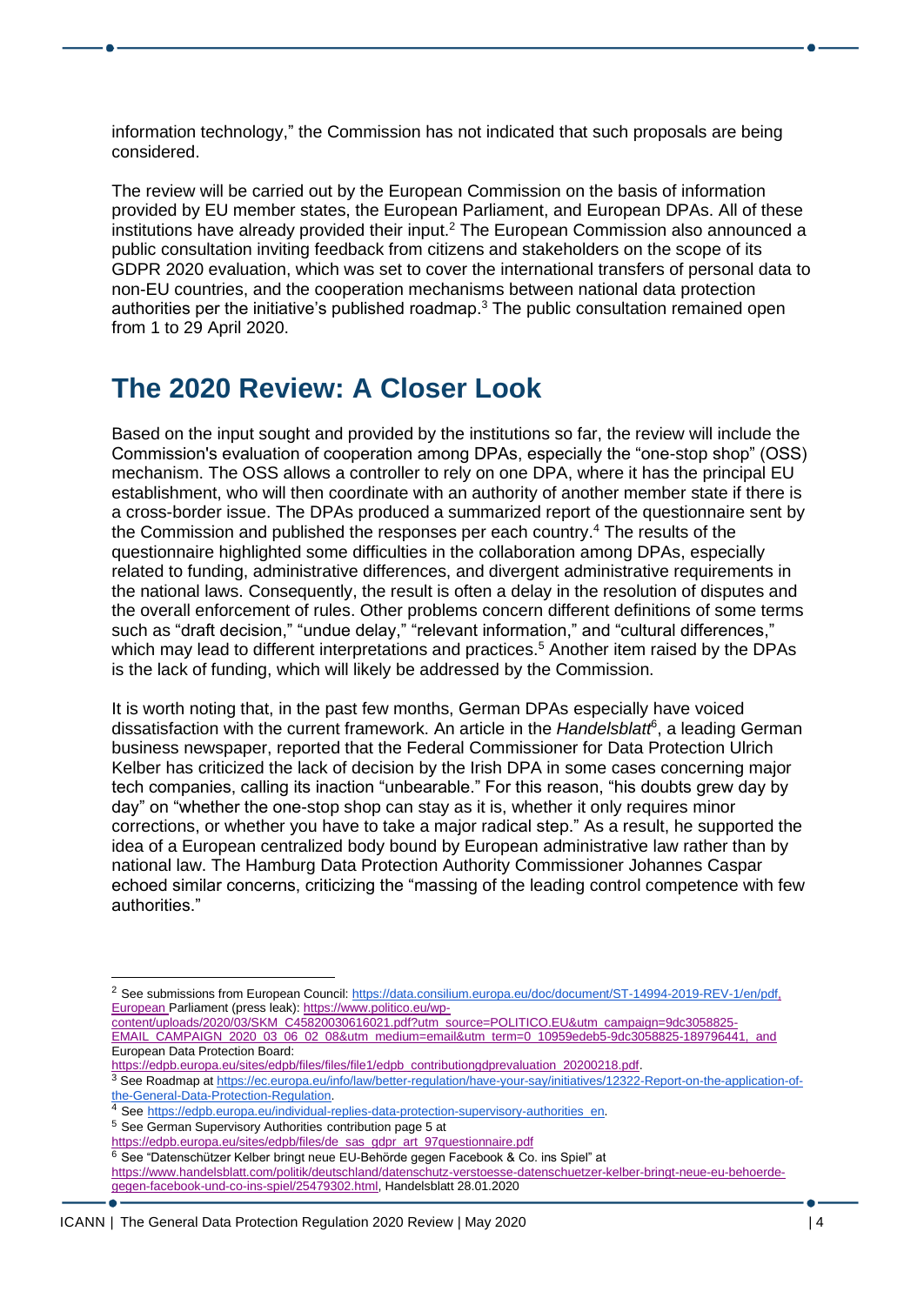information technology," the Commission has not indicated that such proposals are being considered.

The review will be carried out by the European Commission on the basis of information provided by EU member states, the European Parliament, and European DPAs. All of these institutions have already provided their input.<sup>2</sup> The European Commission also announced a public consultation inviting feedback from citizens and stakeholders on the scope of its GDPR 2020 evaluation, which was set to cover the international transfers of personal data to non-EU countries, and the cooperation mechanisms between national data protection authorities per the initiative's published roadmap.<sup>3</sup> The public consultation remained open from 1 to 29 April 2020.

#### <span id="page-3-0"></span>**The 2020 Review: A Closer Look**

Based on the input sought and provided by the institutions so far, the review will include the Commission's evaluation of cooperation among DPAs, especially the "one-stop shop" (OSS) mechanism. The OSS allows a controller to rely on one DPA, where it has the principal EU establishment, who will then coordinate with an authority of another member state if there is a cross-border issue. The DPAs produced a summarized report of the questionnaire sent by the Commission and published the responses per each country.<sup>4</sup> The results of the questionnaire highlighted some difficulties in the collaboration among DPAs, especially related to funding, administrative differences, and divergent administrative requirements in the national laws. Consequently, the result is often a delay in the resolution of disputes and the overall enforcement of rules. Other problems concern different definitions of some terms such as "draft decision," "undue delay," "relevant information," and "cultural differences," which may lead to different interpretations and practices.<sup>5</sup> Another item raised by the DPAs is the lack of funding, which will likely be addressed by the Commission.

It is worth noting that, in the past few months, German DPAs especially have voiced dissatisfaction with the current framework. An article in the *Handelsblatt*<sup>6</sup> , a leading German business newspaper, reported that the Federal Commissioner for Data Protection Ulrich Kelber has criticized the lack of decision by the Irish DPA in some cases concerning major tech companies, calling its inaction "unbearable." For this reason, "his doubts grew day by day" on "whether the one-stop shop can stay as it is, whether it only requires minor corrections, or whether you have to take a major radical step." As a result, he supported the idea of a European centralized body bound by European administrative law rather than by national law. The Hamburg Data Protection Authority Commissioner Johannes Caspar echoed similar concerns, criticizing the "massing of the leading control competence with few authorities."

3 See Roadmap at [https://ec.europa.eu/info/law/better-regulation/have-your-say/initiatives/12322-Report-on-the-application-of](https://ec.europa.eu/info/law/better-regulation/have-your-say/initiatives/12322-Report-on-the-application-of-the-General-Data-Protection-Regulation)[the-General-Data-Protection-Regulation.](https://ec.europa.eu/info/law/better-regulation/have-your-say/initiatives/12322-Report-on-the-application-of-the-General-Data-Protection-Regulation)

- <sup>5</sup> See German Supervisory Authorities contribution page 5 at
- [https://edpb.europa.eu/sites/edpb/files/de\\_sas\\_gdpr\\_art\\_97questionnaire.pdf](https://edpb.europa.eu/sites/edpb/files/de_sas_gdpr_art_97questionnaire.pdf)

<sup>6</sup> See "Datenschützer Kelber bringt neue EU-Behörde gegen Facebook & Co. ins Spiel" at [https://www.handelsblatt.com/politik/deutschland/datenschutz-verstoesse-datenschuetzer-kelber-bringt-neue-eu-behoerde](https://www.handelsblatt.com/politik/deutschland/datenschutz-verstoesse-datenschuetzer-kelber-bringt-neue-eu-behoerde-gegen-facebook-und-co-ins-spiel/25479302.html)[gegen-facebook-und-co-ins-spiel/25479302.html,](https://www.handelsblatt.com/politik/deutschland/datenschutz-verstoesse-datenschuetzer-kelber-bringt-neue-eu-behoerde-gegen-facebook-und-co-ins-spiel/25479302.html) Handelsblatt 28.01.2020

<sup>&</sup>lt;sup>2</sup> See submissions from European Council[:](https://www.parlament.gv.at/PAKT/EU/XXVII/EU/00/73/EU_07382/imfname_10949357.pdf) https://data.consilium.europa.eu/doc/document/ST-14994-2019-REV-1/en/pdf, European Parliament (press leak)[: https://www.politico.eu/wp-](https://urldefense.proofpoint.com/v2/url?u=https-3A__www.politico.eu_wp-2Dcontent_uploads_2020_03_SKM-5FC45820030616021.pdf-3Futm-5Fsource-3DPOLITICO.EU-26utm-5Fcampaign-3D9dc3058825-2DEMAIL-5FCAMPAIGN-5F2020-5F03-5F06-5F02-5F08-26utm-5Fmedium-3Demail-26utm-5Fterm-3D0-5F10959edeb5-2D9dc3058825-2D189796441&d=DwMGaQ&c=FmY1u3PJp6wrcrwll3mSVzgfkbPSS6sJms7xcl4I5cM&r=-7h6cvM_OPRbO5bNxmxbIC-1LdMcxh3YhHFvOFZCP6Q&m=tf3nHS3TkFTS5NycKucpAL_jaOkN8ZXc7yjxyGUnyd0&s=gf3vlhCpz6GXqzic--bhLxE_BEDRGzNzn5DXT91HDD8&e=)

[content/uploads/2020/03/SKM\\_C45820030616021.pdf?utm\\_source=POLITICO.EU&utm\\_campaign=9dc3058825-](https://urldefense.proofpoint.com/v2/url?u=https-3A__www.politico.eu_wp-2Dcontent_uploads_2020_03_SKM-5FC45820030616021.pdf-3Futm-5Fsource-3DPOLITICO.EU-26utm-5Fcampaign-3D9dc3058825-2DEMAIL-5FCAMPAIGN-5F2020-5F03-5F06-5F02-5F08-26utm-5Fmedium-3Demail-26utm-5Fterm-3D0-5F10959edeb5-2D9dc3058825-2D189796441&d=DwMGaQ&c=FmY1u3PJp6wrcrwll3mSVzgfkbPSS6sJms7xcl4I5cM&r=-7h6cvM_OPRbO5bNxmxbIC-1LdMcxh3YhHFvOFZCP6Q&m=tf3nHS3TkFTS5NycKucpAL_jaOkN8ZXc7yjxyGUnyd0&s=gf3vlhCpz6GXqzic--bhLxE_BEDRGzNzn5DXT91HDD8&e=) [EMAIL\\_CAMPAIGN\\_2020\\_03\\_06\\_02\\_08&utm\\_medium=email&utm\\_term=0\\_10959edeb5-9dc3058825-189796441, and](https://urldefense.proofpoint.com/v2/url?u=https-3A__www.politico.eu_wp-2Dcontent_uploads_2020_03_SKM-5FC45820030616021.pdf-3Futm-5Fsource-3DPOLITICO.EU-26utm-5Fcampaign-3D9dc3058825-2DEMAIL-5FCAMPAIGN-5F2020-5F03-5F06-5F02-5F08-26utm-5Fmedium-3Demail-26utm-5Fterm-3D0-5F10959edeb5-2D9dc3058825-2D189796441&d=DwMGaQ&c=FmY1u3PJp6wrcrwll3mSVzgfkbPSS6sJms7xcl4I5cM&r=-7h6cvM_OPRbO5bNxmxbIC-1LdMcxh3YhHFvOFZCP6Q&m=tf3nHS3TkFTS5NycKucpAL_jaOkN8ZXc7yjxyGUnyd0&s=gf3vlhCpz6GXqzic--bhLxE_BEDRGzNzn5DXT91HDD8&e=) 

European Data Protection Board[:](https://edpb.europa.eu/sites/edpb/files/files/file1/edpb_contributiongdprevaluation_20200218.pdf) [https://edpb.europa.eu/sites/edpb/files/files/file1/edpb\\_contributiongdprevaluation\\_20200218.pdf.](https://edpb.europa.eu/sites/edpb/files/files/file1/edpb_contributiongdprevaluation_20200218.pdf)

<sup>4</sup> See [https://edpb.europa.eu/individual-replies-data-protection-supervisory-authorities\\_en.](https://edpb.europa.eu/individual-replies-data-protection-supervisory-authorities_en)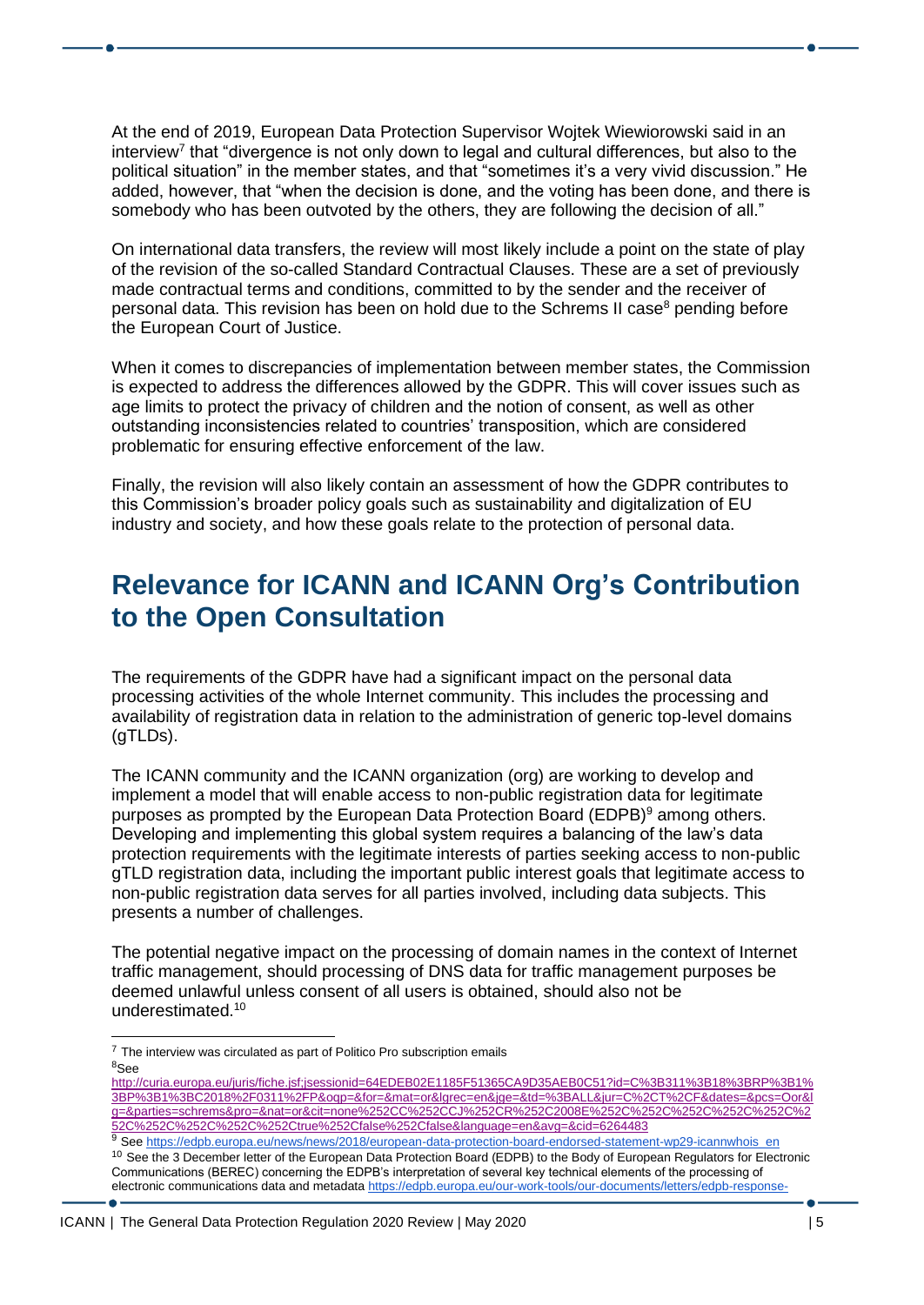At the end of 2019, European Data Protection Supervisor Wojtek Wiewiorowski said in an interview<sup>7</sup> that "divergence is not only down to legal and cultural differences, but also to the political situation" in the member states, and that "sometimes it's a very vivid discussion." He added, however, that "when the decision is done, and the voting has been done, and there is somebody who has been outvoted by the others, they are following the decision of all."

On international data transfers, the review will most likely include a point on the state of play of the revision of the so-called Standard Contractual Clauses. These are a set of previously made contractual terms and conditions, committed to by the sender and the receiver of personal data. This revision has been on hold due to the Schrems II case<sup>8</sup> pending before the European Court of Justice.

When it comes to discrepancies of implementation between member states, the Commission is expected to address the differences allowed by the GDPR. This will cover issues such as age limits to protect the privacy of children and the notion of consent, as well as other outstanding inconsistencies related to countries' transposition, which are considered problematic for ensuring effective enforcement of the law.

Finally, the revision will also likely contain an assessment of how the GDPR contributes to this Commission's broader policy goals such as sustainability and digitalization of EU industry and society, and how these goals relate to the protection of personal data.

## <span id="page-4-0"></span>**Relevance for ICANN and ICANN Org's Contribution to the Open Consultation**

The requirements of the GDPR have had a significant impact on the personal data processing activities of the whole Internet community. This includes the processing and availability of registration data in relation to the administration of generic top-level domains (gTLDs).

The ICANN community and the ICANN organization (org) are working to develop and implement a model that will enable access to non-public registration data for legitimate purposes as prompted by the European Data Protection Board (EDPB) $9$  among others. Developing and implementing this global system requires a balancing of the law's data protection requirements with the legitimate interests of parties seeking access to non-public gTLD registration data, including the important public interest goals that legitimate access to non-public registration data serves for all parties involved, including data subjects. This presents a number of challenges.

The potential negative impact on the processing of domain names in the context of Internet traffic management, should processing of DNS data for traffic management purposes be deemed unlawful unless consent of all users is obtained, should also not be underestimated.<sup>10</sup>

- $7$  The interview was circulated as part of Politico Pro subscription emails <sup>8</sup>See
- [http://curia.europa.eu/juris/fiche.jsf;jsessionid=64EDEB02E1185F51365CA9D35AEB0C51?id=C%3B311%3B18%3BRP%3B1%](http://curia.europa.eu/juris/fiche.jsf;jsessionid=64EDEB02E1185F51365CA9D35AEB0C51?id=C%3B311%3B18%3BRP%3B1%3BP%3B1%3BC2018%2F0311%2FP&oqp=&for=&mat=or&lgrec=en&jge=&td=%3BALL&jur=C%2CT%2CF&dates=&pcs=Oor&lg=&parties=schrems&pro=&nat=or&cit=none%252CC%252CCJ%252CR%252C2008E%252C%252C%252C%252C%252C%252C%252C%252C%252C%252Ctrue%252Cfalse%252Cfalse&language=en&avg=&cid=6264483) [3BP%3B1%3BC2018%2F0311%2FP&oqp=&for=&mat=or&lgrec=en&jge=&td=%3BALL&jur=C%2CT%2CF&dates=&pcs=Oor&l](http://curia.europa.eu/juris/fiche.jsf;jsessionid=64EDEB02E1185F51365CA9D35AEB0C51?id=C%3B311%3B18%3BRP%3B1%3BP%3B1%3BC2018%2F0311%2FP&oqp=&for=&mat=or&lgrec=en&jge=&td=%3BALL&jur=C%2CT%2CF&dates=&pcs=Oor&lg=&parties=schrems&pro=&nat=or&cit=none%252CC%252CCJ%252CR%252C2008E%252C%252C%252C%252C%252C%252C%252C%252C%252C%252Ctrue%252Cfalse%252Cfalse&language=en&avg=&cid=6264483) [g=&parties=schrems&pro=&nat=or&cit=none%252CC%252CCJ%252CR%252C2008E%252C%252C%252C%252C%252C%2](http://curia.europa.eu/juris/fiche.jsf;jsessionid=64EDEB02E1185F51365CA9D35AEB0C51?id=C%3B311%3B18%3BRP%3B1%3BP%3B1%3BC2018%2F0311%2FP&oqp=&for=&mat=or&lgrec=en&jge=&td=%3BALL&jur=C%2CT%2CF&dates=&pcs=Oor&lg=&parties=schrems&pro=&nat=or&cit=none%252CC%252CCJ%252CR%252C2008E%252C%252C%252C%252C%252C%252C%252C%252C%252C%252Ctrue%252Cfalse%252Cfalse&language=en&avg=&cid=6264483) [52C%252C%252C%252C%252Ctrue%252Cfalse%252Cfalse&language=en&avg=&cid=6264483](http://curia.europa.eu/juris/fiche.jsf;jsessionid=64EDEB02E1185F51365CA9D35AEB0C51?id=C%3B311%3B18%3BRP%3B1%3BP%3B1%3BC2018%2F0311%2FP&oqp=&for=&mat=or&lgrec=en&jge=&td=%3BALL&jur=C%2CT%2CF&dates=&pcs=Oor&lg=&parties=schrems&pro=&nat=or&cit=none%252CC%252CCJ%252CR%252C2008E%252C%252C%252C%252C%252C%252C%252C%252C%252C%252Ctrue%252Cfalse%252Cfalse&language=en&avg=&cid=6264483)
- 9 See [https://edpb.europa.eu/news/news/2018/european-data-protection-board-endorsed-statement-wp29-icannwhois\\_en](https://edpb.europa.eu/news/news/2018/european-data-protection-board-endorsed-statement-wp29-icannwhois_en) <sup>10</sup> See the 3 December letter of the European Data Protection Board (EDPB) to the Body of European Regulators for Electronic Communications (BEREC) concerning the EDPB's interpretation of several key technical elements of the processing of electronic communications data and metadat[a https://edpb.europa.eu/our-work-tools/our-documents/letters/edpb-response-](https://edpb.europa.eu/our-work-tools/our-documents/letters/edpb-response-berec-request-guidance-revision-its-guidelines_en)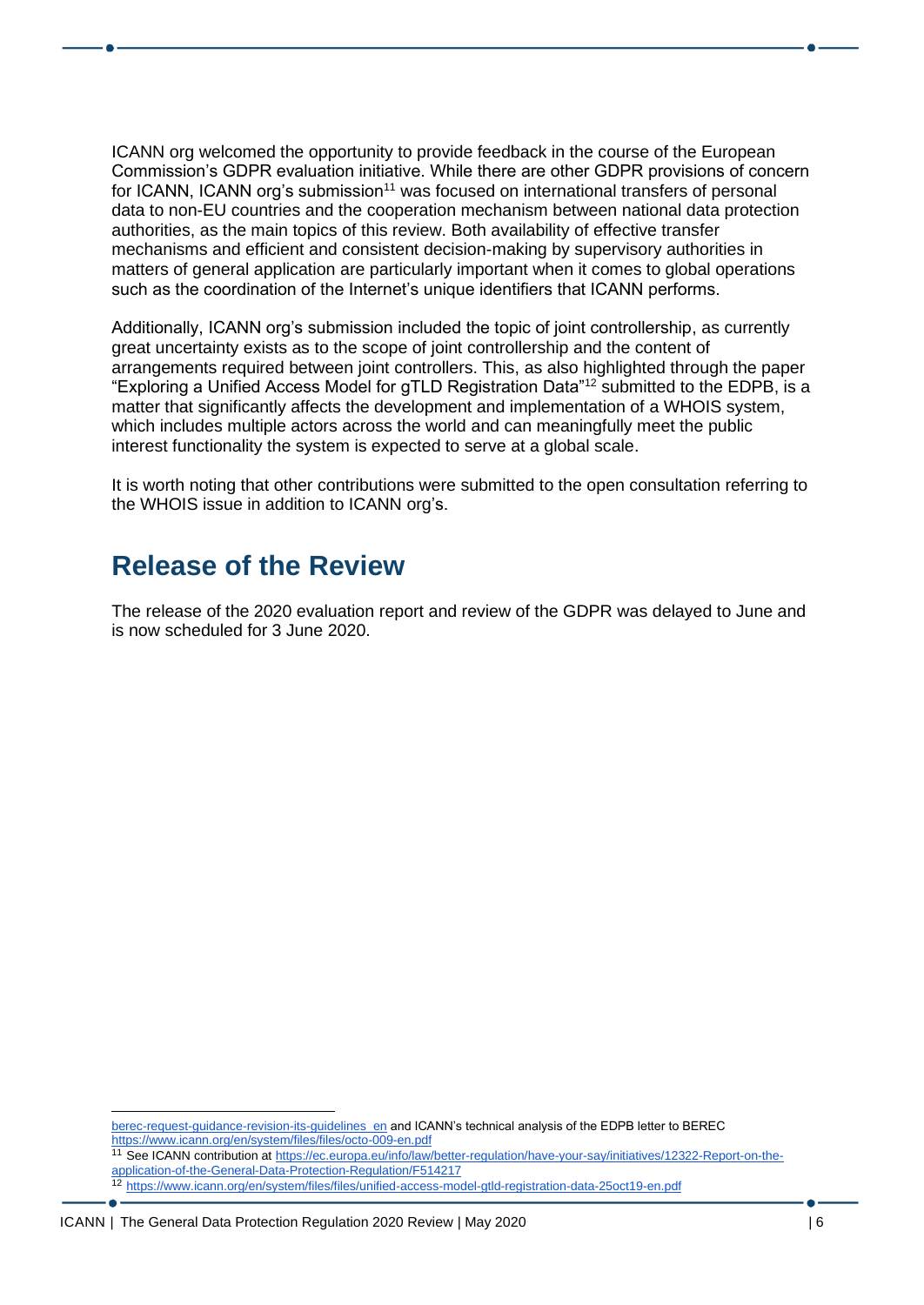ICANN org welcomed the opportunity to provide feedback in the course of the European Commission's GDPR evaluation initiative. While there are other GDPR provisions of concern for ICANN, ICANN org's submission<sup>11</sup> was focused on international transfers of personal data to non-EU countries and the cooperation mechanism between national data protection authorities, as the main topics of this review. Both availability of effective transfer mechanisms and efficient and consistent decision-making by supervisory authorities in matters of general application are particularly important when it comes to global operations such as the coordination of the Internet's unique identifiers that ICANN performs.

Additionally, ICANN org's submission included the topic of joint controllership, as currently great uncertainty exists as to the scope of joint controllership and the content of arrangements required between joint controllers. This, as also highlighted through the paper "Exploring a Unified Access Model for gTLD Registration Data"<sup>12</sup> submitted to the EDPB, is a matter that significantly affects the development and implementation of a WHOIS system, which includes multiple actors across the world and can meaningfully meet the public interest functionality the system is expected to serve at a global scale.

It is worth noting that other contributions were submitted to the open consultation referring to the WHOIS issue in addition to ICANN org's.

### <span id="page-5-0"></span>**Release of the Review**

The release of the 2020 evaluation report and review of the GDPR was delayed to June and is now scheduled for 3 June 2020.

[berec-request-guidance-revision-its-guidelines\\_en](https://edpb.europa.eu/our-work-tools/our-documents/letters/edpb-response-berec-request-guidance-revision-its-guidelines_en) and ICANN's technical analysis of the EDPB letter to BEREC <https://www.icann.org/en/system/files/files/octo-009-en.pdf>

<sup>12</sup> <https://www.icann.org/en/system/files/files/unified-access-model-gtld-registration-data-25oct19-en.pdf>

<sup>11</sup> See ICANN contribution a[t https://ec.europa.eu/info/law/better-regulation/have-your-say/initiatives/12322-Report-on-the](https://ec.europa.eu/info/law/better-regulation/have-your-say/initiatives/12322-Report-on-the-application-of-the-General-Data-Protection-Regulation/F514217)[application-of-the-General-Data-Protection-Regulation/F514217](https://ec.europa.eu/info/law/better-regulation/have-your-say/initiatives/12322-Report-on-the-application-of-the-General-Data-Protection-Regulation/F514217)